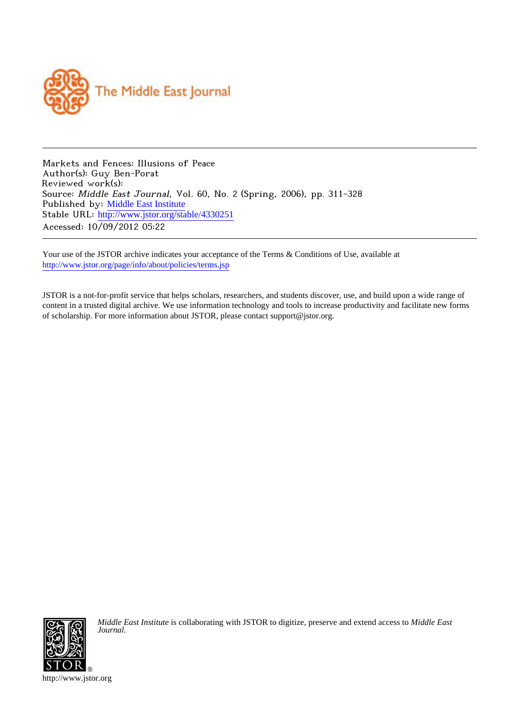

Markets and Fences: Illusions of Peace Author(s): Guy Ben-Porat Reviewed work(s): Source: Middle East Journal, Vol. 60, No. 2 (Spring, 2006), pp. 311-328 Published by: [Middle East Institute](http://www.jstor.org/action/showPublisher?publisherCode=mei) Stable URL: [http://www.jstor.org/stable/4330251](http://www.jstor.org/stable/4330251?origin=JSTOR-pdf) Accessed: 10/09/2012 05:22

Your use of the JSTOR archive indicates your acceptance of the Terms & Conditions of Use, available at <http://www.jstor.org/page/info/about/policies/terms.jsp>

JSTOR is a not-for-profit service that helps scholars, researchers, and students discover, use, and build upon a wide range of content in a trusted digital archive. We use information technology and tools to increase productivity and facilitate new forms of scholarship. For more information about JSTOR, please contact support@jstor.org.



*Middle East Institute* is collaborating with JSTOR to digitize, preserve and extend access to *Middle East Journal.*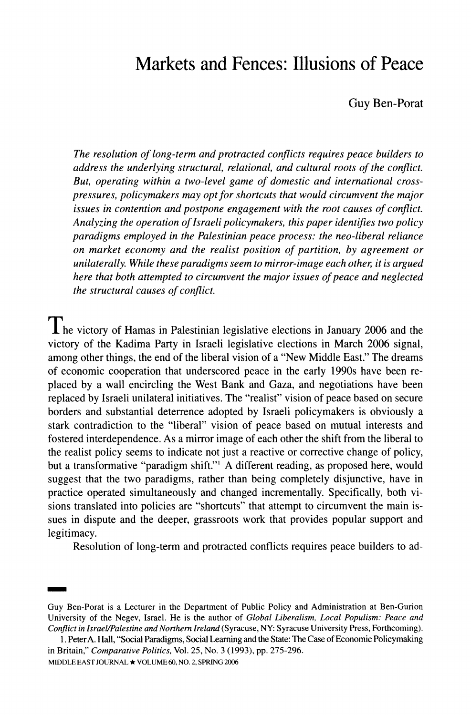# **Markets and Fences: Illusions of Peace**

**Guy Ben-Porat** 

**The resolution of long-term and protracted conflicts requires peace builders to address the underlying structural, relational, and cultural roots of the conflict. But, operating within a two-level game of domestic and international cross**pressures, policymakers may opt for shortcuts that would circumvent the major **issues in contention and postpone engagement with the root causes of conflict. Analyzing the operation of Israeli policymakers, this paper identifies two policy paradigms employed in the Palestinian peace process: the neo-liberal reliance on market economy and the realist position of partition, by agreement or unilaterally. While these paradigms seem to mirror-image each other, it is argued**  here that both attempted to circumvent the major issues of peace and neglected **the structural causes of conflict.** 

**<sup>T</sup>he victory of Hamas in Palestinian legislative elections in January 2006 and the victory of the Kadima Party in Israeli legislative elections in March 2006 signal, among other things, the end of the liberal vision of a "New Middle East." The dreams of economic cooperation that underscored peace in the early 1990s have been replaced by a wall encircling the West Bank and Gaza, and negotiations have been replaced by Israeli unilateral initiatives. The "realist" vision of peace based on secure borders and substantial deterrence adopted by Israeli policymakers is obviously a stark contradiction to the "liberal" vision of peace based on mutual interests and fostered interdependence. As a mirror image of each other the shift from the liberal to the realist policy seems to indicate not just a reactive or corrective change of policy, but a transformative "paradigm shift."' A different reading, as proposed here, would suggest that the two paradigms, rather than being completely disjunctive, have in practice operated simultaneously and changed incrementally. Specifically, both visions translated into policies are "shortcuts" that attempt to circumvent the main issues in dispute and the deeper, grassroots work that provides popular support and legitimacy.** 

**Resolution of long-term and protracted conflicts requires peace builders to ad-**

**Guy Ben-Porat is a Lecturer in the Department of Public Policy and Administration at Ben-Gurion University of the Negev, Israel. He is the author of Global Liberalism, Local Populism: Peace and Conflict in Israel/Palestine and Northern Ireland (Syracuse, NY: Syracuse University Press, Forthcoming).** 

**<sup>1.</sup> PeterA. Hall, "Social Paradigms, Social Learning and the State: The Case of Economic Policymaking in Britain," Comparative Politics, Vol. 25, No. 3 (1993), pp. 275-296. MIDDLE EAST JOURNAL \* VOLUME 60, NO. 2, SPRING 2006**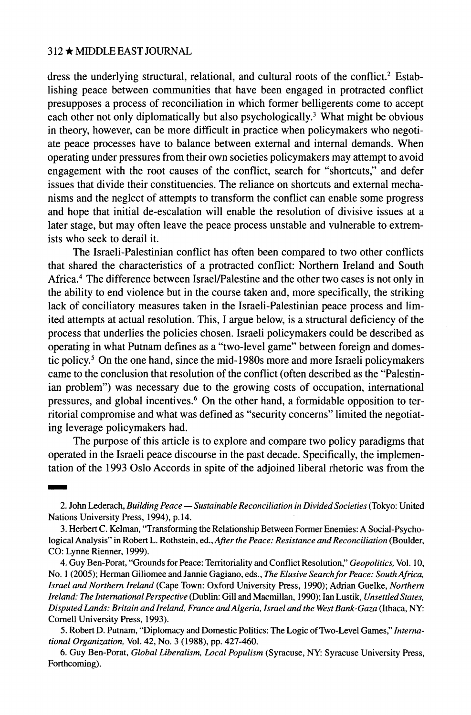dress the underlying structural, relational, and cultural roots of the conflict.<sup>2</sup> Estab**lishing peace between communities that have been engaged in protracted conflict presupposes a process of reconciliation in which former belligerents come to accept each other not only diplomatically but also psychologically.3 What might be obvious in theory, however, can be more difficult in practice when policymakers who negotiate peace processes have to balance between external and internal demands. When operating under pressures from their own societies policymakers may attempt to avoid engagement with the root causes of the conflict, search for "shortcuts," and defer issues that divide their constituencies. The reliance on shortcuts and external mechanisms and the neglect of attempts to transform the conflict can enable some progress and hope that initial de-escalation will enable the resolution of divisive issues at a later stage, but may often leave the peace process unstable and vulnerable to extremists who seek to derail it.** 

**The Israeli-Palestinian conflict has often been compared to two other conflicts that shared the characteristics of a protracted conflict: Northern Ireland and South Africa.4 The difference between Israel/Palestine and the other two cases is not only in the ability to end violence but in the course taken and, more specifically, the striking lack of conciliatory measures taken in the Israeli-Palestinian peace process and limited attempts at actual resolution. This, I argue below, is a structural deficiency of the process that underlies the policies chosen. Israeli policymakers could be described as operating in what Putnam defines as a "two-level game" between foreign and domestic policy.5 On the one hand, since the mid-1980s more and more Israeli policymakers came to the conclusion that resolution of the conflict (often described as the "Palestinian problem") was necessary due to the growing costs of occupation, international pressures, and global incentives.6 On the other hand, a formidable opposition to territorial compromise and what was defined as "security concerns" limited the negotiating leverage policymakers had.** 

**The purpose of this article is to explore and compare two policy paradigms that operated in the Israeli peace discourse in the past decade. Specifically, the implementation of the 1993 Oslo Accords in spite of the adjoined liberal rhetoric was from the** 

<sup>2.</sup> John Lederach, *Building Peace - Sustainable Reconciliation in Divided Societies* (Tokyo: United **Nations University Press, 1994), p.14.** 

**<sup>3.</sup> Herbert C. Kelman, 'Transforming the Relationship Between Former Enemies: A Social-Psychological Analysis" in Robert L. Rothstein, ed., After the Peace: Resistance and Reconciliation (Boulder, CO: Lynne Rienner, 1999).** 

**<sup>4.</sup> Guy Ben-Porat, "Grounds for Peace: Territoriality and Conflict Resolution," Geopolitics, Vol. 10, No. 1 (2005); Herman Giliomee and Jannie Gagiano, eds., The Elusive Search for Peace: South Africa, Israel and Northern Ireland (Cape Town: Oxford University Press, 1990); Adrian Guelke, Northern Ireland: The International Perspective (Dublin: Gill and Macmillan, 1990); Ian Lustik, Unsettled States,**  Disputed Lands: Britain and Ireland, France and Algeria, Israel and the West Bank-Gaza (Ithaca, NY: **Cornell University Press, 1993).** 

**<sup>5.</sup> Robert D. Putnam, "Diplomacy and Domestic Politics: The Logic of Two-Level Games," International Organization, Vol. 42, No. 3 (1988), pp. 427-460.** 

**<sup>6.</sup> Guy Ben-Porat, Global Liberalism, Local Populism (Syracuse, NY: Syracuse University Press, Forthcoming).**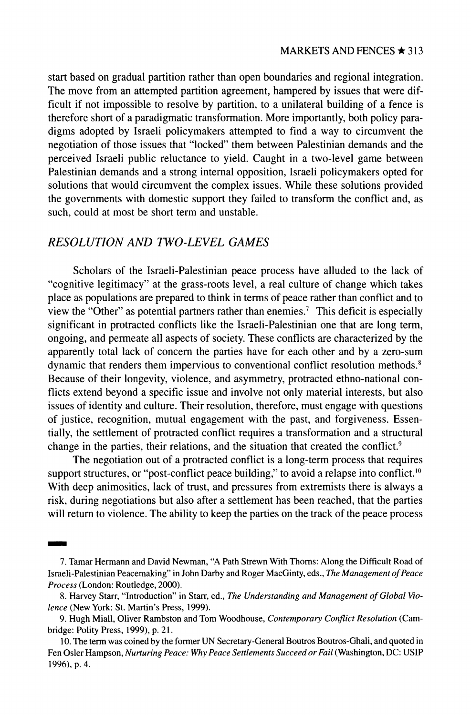**start based on gradual partition rather than open boundaries and regional integration. The move from an attempted partition agreement, hampered by issues that were difficult if not impossible to resolve by partition, to a unilateral building of a fence is therefore short of a paradigmatic transformation. More importantly, both policy paradigms adopted by Israeli policymakers attempted to find a way to circumvent the negotiation of those issues that "locked" them between Palestinian demands and the perceived Israeli public reluctance to yield. Caught in a two-level game between Palestinian demands and a strong internal opposition, Israeli policymakers opted for solutions that would circumvent the complex issues. While these solutions provided the governments with domestic support they failed to transform the conflict and, as such, could at most be short term and unstable.** 

## **RESOLUTION AND TWO-LEVEL GAMES**

**Scholars of the Israeli-Palestinian peace process have alluded to the lack of "cognitive legitimacy" at the grass-roots level, a real culture of change which takes place as populations are prepared to think in terms of peace rather than conflict and to view the "Other" as potential partners rather than enemies.7 This deficit is especially significant in protracted conflicts like the Israeli-Palestinian one that are long term, ongoing, and permeate all aspects of society. These conflicts are characterized by the apparently total lack of concern the parties have for each other and by a zero-sum dynamic that renders them impervious to conventional conflict resolution methods.8 Because of their longevity, violence, and asymmetry, protracted ethno-national conflicts extend beyond a specific issue and involve not only material interests, but also issues of identity and culture. Their resolution, therefore, must engage with questions of justice, recognition, mutual engagement with the past, and forgiveness. Essentially, the settlement of protracted conflict requires a transformation and a structural change in the parties, their relations, and the situation that created the conflict.9** 

**The negotiation out of a protracted conflict is a long-term process that requires support structures, or "post-conflict peace building," to avoid a relapse into conflict.'0 With deep animosities, lack of trust, and pressures from extremists there is always a risk, during negotiations but also after a settlement has been reached, that the parties will return to violence. The ability to keep the parties on the track of the peace process** 

**<sup>7.</sup> Tamar Hermann and David Newman, "A Path Strewn With Thorns: Along the Difficult Road of Israeli-Palestinian Peacemaking" in John Darby and Roger MacGinty, eds., The Management of Peace Process (London: Routledge, 2000).** 

**<sup>8.</sup> Harvey Starr, "Introduction" in Starr, ed., The Understanding and Management of Global Violence (New York: St. Martin's Press, 1999).** 

**<sup>9.</sup> Hugh Miall, Oliver Rambston and Tom Woodhouse, Contemporary Conflict Resolution (Cambridge: Polity Press, 1999), p. 21.** 

**<sup>10.</sup> The term was coined by the former UN Secretary-General Boutros Boutros-Ghali, and quoted in Fen Osler Hampson, Nurturing Peace: Why Peace Settlements Succeed or Fail (Washington, DC: USIP 1996), p. 4.**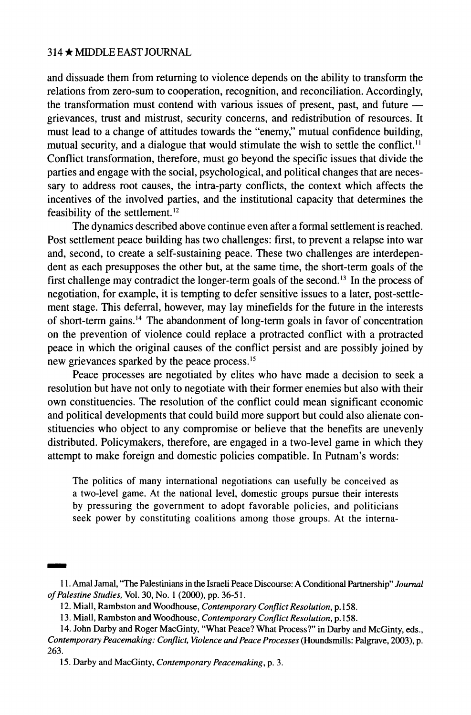**and dissuade them from returning to violence depends on the ability to transform the relations from zero-sum to cooperation, recognition, and reconciliation. Accordingly, the transformation must contend with various issues of present, past, and future grievances, trust and mistrust, security concerns, and redistribution of resources. It must lead to a change of attitudes towards the "enemy," mutual confidence building, mutual security, and a dialogue that would stimulate the wish to settle the conflict.'" Conflict transformation, therefore, must go beyond the specific issues that divide the parties and engage with the social, psychological, and political changes that are necessary to address root causes, the intra-party conflicts, the context which affects the incentives of the involved parties, and the institutional capacity that determines the feasibility of the settlement. 12** 

**The dynamics described above continue even after a formal settlement is reached. Post settlement peace building has two challenges: first, to prevent a relapse into war and, second, to create a self-sustaining peace. These two challenges are interdependent as each presupposes the other but, at the same time, the short-term goals of the**  first challenge may contradict the longer-term goals of the second.<sup>13</sup> In the process of **negotiation, for example, it is tempting to defer sensitive issues to a later, post-settlement stage. This deferral, however, may lay minefields for the future in the interests of short-term gains.'4 The abandonment of long-term goals in favor of concentration on the prevention of violence could replace a protracted conflict with a protracted peace in which the original causes of the conflict persist and are possibly joined by new grievances sparked by the peace process."1** 

**Peace processes are negotiated by elites who have made a decision to seek a resolution but have not only to negotiate with their former enemies but also with their own constituencies. The resolution of the conflict could mean significant economic and political developments that could build more support but could also alienate constituencies who object to any compromise or believe that the benefits are unevenly distributed. Policymakers, therefore, are engaged in a two-level game in which they attempt to make foreign and domestic policies compatible. In Putnam's words:** 

**The politics of many international negotiations can usefully be conceived as a two-level game. At the national level, domestic groups pursue their interests by pressuring the government to adopt favorable policies, and politicians seek power by constituting coalitions among those groups. At the interna-**

**<sup>1 1.</sup> Amal Jamal, "The Palestinians in the Israeli Peace Discourse: A Conditional Partnership" Journal of Palestine Studies, Vol. 30, No. 1 (2000), pp. 36-5 1.** 

**<sup>12.</sup> Miall, Rambston and Woodhouse, Contemporary Conflict Resolution, p. 158.** 

**<sup>13.</sup> Miall, Rambston and Woodhouse, Contemporary Conflict Resolution, p. 158.** 

**<sup>14.</sup> John Darby and Roger MacGinty, "What Peace? What Process?" in Darby and McGinty, eds., Contemporary Peacemaking: Conflict, Violence and Peace Processes (Houndsmills: Palgrave, 2003), p. 263.** 

**<sup>15.</sup> Darby and MacGinty, Contemporary Peacemaking, p. 3.**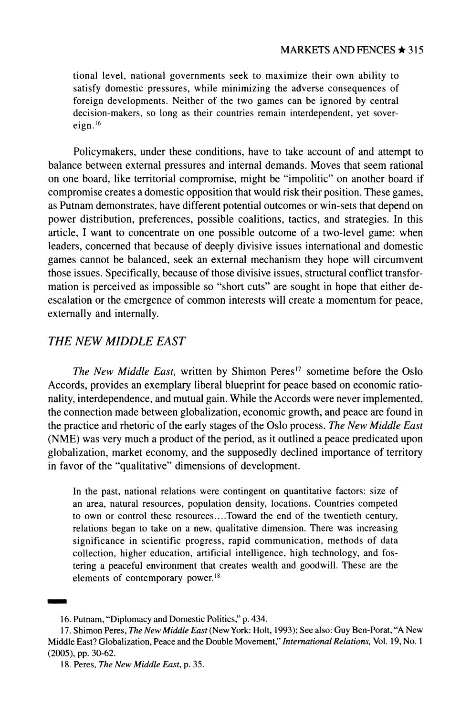**tional level, national governments seek to maximize their own ability to satisfy domestic pressures, while minimizing the adverse consequences of foreign developments. Neither of the two games can be ignored by central decision-makers, so long as their countries remain interdependent, yet sovereign. <sup>16</sup>**

**Policymakers, under these conditions, have to take account of and attempt to balance between external pressures and internal demands. Moves that seem rational on one board, like territorial compromise, might be "impolitic" on another board if compromise creates a domestic opposition that would risk their position. These games, as Putnam demonstrates, have different potential outcomes or win-sets that depend on power distribution, preferences, possible coalitions, tactics, and strategies. In this article, I want to concentrate on one possible outcome of a two-level game: when leaders, concerned that because of deeply divisive issues international and domestic games cannot be balanced, seek an external mechanism they hope will circumvent those issues. Specifically, because of those divisive issues, structural conflict transformation is perceived as impossible so "short cuts" are sought in hope that either deescalation or the emergence of common interests will create a momentum for peace, externally and internally.** 

## **THE NEW MIDDLE EAST**

**The New Middle East, written by Shimon Peres"7 sometime before the Oslo Accords, provides an exemplary liberal blueprint for peace based on economic rationality, interdependence, and mutual gain. While the Accords were never implemented, the connection made between globalization, economic growth, and peace are found in the practice and rhetoric of the early stages of the Oslo process. The New Middle East (NME) was very much a product of the period, as it outlined a peace predicated upon globalization, market economy, and the supposedly declined importance of territory in favor of the "qualitative" dimensions of development.** 

**In the past, national relations were contingent on quantitative factors: size of an area, natural resources, population density, locations. Countries competed to own or control these resources....Toward the end of the twentieth century, relations began to take on a new, qualitative dimension. There was increasing significance in scientific progress, rapid communication, methods of data collection, higher education, artificial intelligence, high technology, and fostering a peaceful environment that creates wealth and goodwill. These are the elements of contemporary power."8** 

**<sup>16.</sup> Putnam, "Diplomacy and Domestic Politics," p. 434.** 

**<sup>17.</sup> Shimon Peres, The New Middle East (New York: Holt, 1993); See also: Guy Ben-Porat, "A New Middle East? Globalization, Peace and the Double Movement"' International Relations, Vol. 19, No. 1 (2005), pp. 30-62.** 

**<sup>18.</sup> Peres, The New Middle East, p. 35.**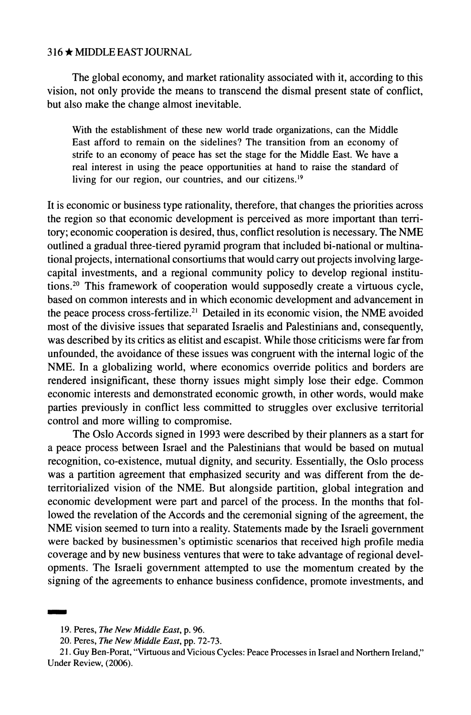**The global economy, and market rationality associated with it, according to this vision, not only provide the means to transcend the dismal present state of conflict, but also make the change almost inevitable.** 

**With the establishment of these new world trade organizations, can the Middle East afford to remain on the sidelines? The transition from an economy of strife to an economy of peace has set the stage for the Middle East. We have a real interest in using the peace opportunities at hand to raise the standard of living for our region, our countries, and our citizens.'9** 

**It is economic or business type rationality, therefore, that changes the priorities across**  the region so that economic development is perceived as more important than terri**tory; economic cooperation is desired, thus, conflict resolution is necessary. The NME outlined a gradual three-tiered pyramid program that included bi-national or multinational projects, international consortiums that would carry out projects involving largecapital investments, and a regional community policy to develop regional institutions.20 This framework of cooperation would supposedly create a virtuous cycle, based on common interests and in which economic development and advancement in the peace process cross-fertilize.2' Detailed in its economic vision, the NME avoided most of the divisive issues that separated Israelis and Palestinians and, consequently, was described by its critics as elitist and escapist. While those criticisms were far from**  unfounded, the avoidance of these issues was congruent with the internal logic of the **NME. In a globalizing world, where economics override politics and borders are rendered insignificant, these thorny issues might simply lose their edge. Common economic interests and demonstrated economic growth, in other words, would make parties previously in conflict less committed to struggles over exclusive territorial control and more willing to compromise.** 

**The Oslo Accords signed in 1993 were described by their planners as a start for a peace process between Israel and the Palestinians that would be based on mutual recognition, co-existence, mutual dignity, and security. Essentially, the Oslo process was a partition agreement that emphasized security and was different from the deterritorialized vision of the NME. But alongside partition, global integration and economic development were part and parcel of the process. In the months that followed the revelation of the Accords and the ceremonial signing of the agreement, the NME vision seemed to turn into a reality. Statements made by the Israeli government were backed by businessmen's optimistic scenarios that received high profile media coverage and by new business ventures that were to take advantage of regional developments. The Israeli government attempted to use the momentum created by the signing of the agreements to enhance business confidence, promote investments, and** 

**<sup>19.</sup> Peres, The New Middle East, p. 96.** 

**<sup>20.</sup> Peres, The New Middle East, pp. 72-73.** 

**<sup>21.</sup> Guy Ben-Porat, "Virtuous and Vicious Cycles: Peace Processes in Israel and Northern Ireland," Under Review, (2006).**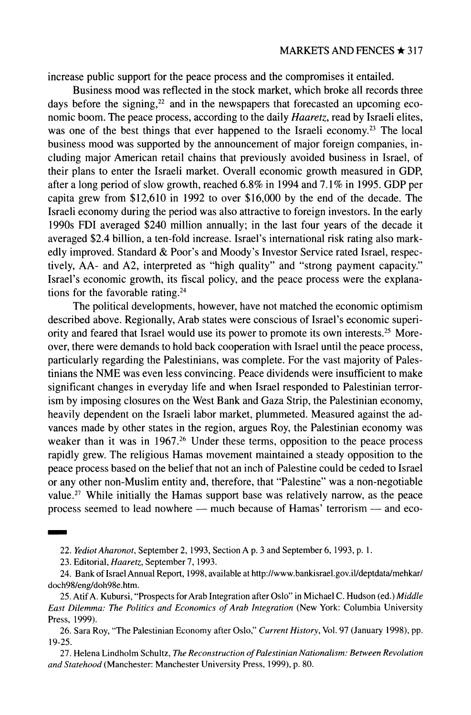**increase public support for the peace process and the compromises it entailed.** 

**Business mood was reflected in the stock market, which broke all records three**  days before the signing,<sup>22</sup> and in the newspapers that forecasted an upcoming eco**nomic boom. The peace process, according to the daily Haaretz, read by Israeli elites, was one of the best things that ever happened to the Israeli economy.23 The local business mood was supported by the announcement of major foreign companies, including major American retail chains that previously avoided business in Israel, of their plans to enter the Israeli market. Overall economic growth measured in GDP, after a long period of slow growth, reached 6.8% in 1994 and 7.1% in 1995. GDP per capita grew from \$12,610 in 1992 to over \$16,000 by the end of the decade. The Israeli economy during the period was also attractive to foreign investors. In the early 1990s FDI averaged \$240 million annually; in the last four years of the decade it averaged \$2.4 billion, a ten-fold increase. Israel's international risk rating also markedly improved. Standard & Poor's and Moody's Investor Service rated Israel, respectively, AA- and A2, interpreted as "high quality" and "strong payment capacity." Israel's economic growth, its fiscal policy, and the peace process were the explanations for the favorable rating.24** 

**The political developments, however, have not matched the economic optimism described above. Regionally, Arab states were conscious of Israel's economic superiority and feared that Israel would use its power to promote its own interests.25 Moreover, there were demands to hold back cooperation with Israel until the peace process, particularly regarding the Palestinians, was complete. For the vast majority of Palestinians the NME was even less convincing. Peace dividends were insufficient to make significant changes in everyday life and when Israel responded to Palestinian terrorism by imposing closures on the West Bank and Gaza Strip, the Palestinian economy, heavily dependent on the Israeli labor market, plummeted. Measured against the advances made by other states in the region, argues Roy, the Palestinian economy was weaker than it was in 1967.26 Under these terms, opposition to the peace process rapidly grew. The religious Hamas movement maintained a steady opposition to the peace process based on the belief that not an inch of Palestine could be ceded to Israel or any other non-Muslim entity and, therefore, that "Palestine" was a non-negotiable value.27 While initially the Hamas support base was relatively narrow, as the peace**  process seemed to lead nowhere — much because of Hamas' terrorism — and eco-

**<sup>22.</sup> YediotAharonot, September 2, 1993, Section A p. 3 and September 6, 1993, p. 1.** 

**<sup>23.</sup> Editorial, Haaretz, September 7, 1993.** 

**<sup>24.</sup> Bank of Israel Annual Report, 1998, available at http://www.bankisrael.gov.il/deptdata/mehkar/ doch98/eng/doh98e.htm.** 

**<sup>25.</sup> Atif A. Kubursi, "Prospects for Arab Integration after Oslo" in Michael C. Hudson (ed.) Middle East Dilemma: The Politics and Economics of Arab Integration (New York: Columbia University Press, 1999).** 

**<sup>26.</sup> Sara Roy, "The Palestinian Economy after Oslo," Current History, Vol. 97 (January 1998), pp. 19-25.** 

**<sup>27.</sup> Helena Lindholm Schultz, The Reconstruction of Palestinian Nationalism: Between Revolution and Statehood (Manchester: Manchester University Press, 1999), p. 80.**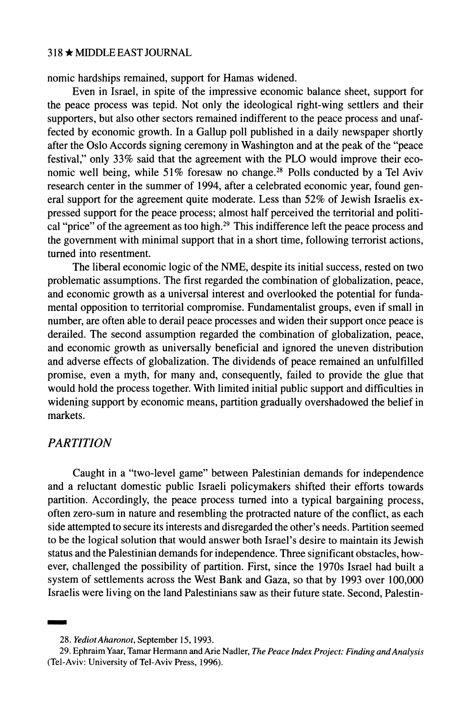**nomic hardships remained, support for Hamas widened.** 

**Even in Israel, in spite of the impressive economic balance sheet, support for the peace process was tepid. Not only the ideological right-wing settlers and their supporters, but also other sectors remained indifferent to the peace process and unaffected by economic growth. In a Gallup poll published in a daily newspaper shortly after the Oslo Accords signing ceremony in Washington and at the peak of the "peace festival," only 33% said that the agreement with the PLO would improve their economic well being, while 51% foresaw no change.28 Polls conducted by a Tel Aviv research center in the summer of 1994, after a celebrated economic year, found general support for the agreement quite moderate. Less than 52% of Jewish Israelis expressed support for the peace process; almost half perceived the territorial and politi**cal "price" of the agreement as too high.<sup>29</sup> This indifference left the peace process and **the government with minimal support that in a short time, following terrorist actions, turned into resentment.** 

**The liberal economic logic of the NME, despite its initial success, rested on two problematic assumptions. The first regarded the combination of globalization, peace, and economic growth as a universal interest and overlooked the potential for fundamental opposition to territorial compromise. Fundamentalist groups, even if small in number, are often able to derail peace processes and widen their support once peace is derailed. The second assumption regarded the combination of globalization, peace, and economic growth as universally beneficial and ignored the uneven distribution and adverse effects of globalization. The dividends of peace remained an unfulfilled promise, even a myth, for many and, consequently, failed to provide the glue that would hold the process together. With limited initial public support and difficulties in widening support by economic means, partition gradually overshadowed the belief in markets.** 

## **PARTITION**

**Caught in a "two-level game" between Palestinian demands for independence and a reluctant domestic public Israeli policymakers shifted their efforts towards partition. Accordingly, the peace process turned into a typical bargaining process, often zero-sum in nature and resembling the protracted nature of the conflict, as each side attempted to secure its interests and disregarded the other's needs. Partition seemed to be the logical solution that would answer both Israel's desire to maintain its Jewish status and the Palestinian demands for independence. Three significant obstacles, however, challenged the possibility of partition. First, since the 1970s Israel had built a system of settlements across the West Bank and Gaza, so that by 1993 over 100,000 Israelis were living on the land Palestinians saw as their future state. Second, Palestin-**

**<sup>28.</sup> YediotAharonot, September 15, 1993.** 

**<sup>29.</sup> Ephraim Yaar, Tamar Hermann and Arie Nadler, The Peace Index Project: Finding andAnalysis (Tel-Aviv: University of Tel-Aviv Press, 1996).**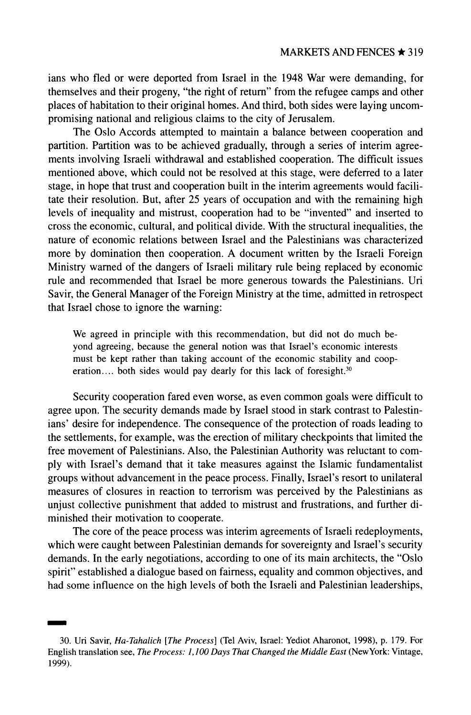**ians who fled or were deported from Israel in the 1948 War were demanding, for themselves and their progeny, "the right of return" from the refugee camps and other places of habitation to their original homes. And third, both sides were laying uncompromising national and religious claims to the city of Jerusalem.** 

**The Oslo Accords attempted to maintain a balance between cooperation and partition. Partition was to be achieved gradually, through a series of interim agreements involving Israeli withdrawal and established cooperation. The difficult issues mentioned above, which could not be resolved at this stage, were deferred to a later stage, in hope that trust and cooperation built in the interim agreements would facilitate their resolution. But, after 25 years of occupation and with the remaining high levels of inequality and mistrust, cooperation had to be "invented" and inserted to cross the economic, cultural, and political divide. With the structural inequalities, the nature of economic relations between Israel and the Palestinians was characterized more by domination then cooperation. A document written by the Israeli Foreign Ministry warned of the dangers of Israeli military rule being replaced by economic rule and recommended that Israel be more generous towards the Palestinians. Uri Savir, the General Manager of the Foreign Ministry at the time, admitted in retrospect that Israel chose to ignore the warning:** 

**We agreed in principle with this recommendation, but did not do much beyond agreeing, because the general notion was that Israel's economic interests must be kept rather than taking account of the economic stability and cooperation.... both sides would pay dearly for this lack of foresight.30** 

**Security cooperation fared even worse, as even common goals were difficult to agree upon. The security demands made by Israel stood in stark contrast to Palestinians' desire for independence. The consequence of the protection of roads leading to the settlements, for example, was the erection of military checkpoints that limited the**  free movement of Palestinians. Also, the Palestinian Authority was reluctant to com**ply with Israel's demand that it take measures against the Islamic fundamentalist groups without advancement in the peace process. Finally, Israel's resort to unilateral measures of closures in reaction to terrorism was perceived by the Palestinians as**  unjust collective punishment that added to mistrust and frustrations, and further di**minished their motivation to cooperate.** 

**The core of the peace process was interim agreements of Israeli redeployments, which were caught between Palestinian demands for sovereignty and Israel's security demands. In the early negotiations, according to one of its main architects, the "Oslo spirit" established a dialogue based on fairness, equality and common objectives, and had some influence on the high levels of both the Israeli and Palestinian leaderships,** 

**<sup>30.</sup> Uri Savir, Ha-Tahalich [The Process] (Tel Aviv, Israel: Yediot Aharonot, 1998), p. 179. For English translation see, The Process: 1,100 Days That Changed the Middle East (NewYork: Vintage, 1 999).**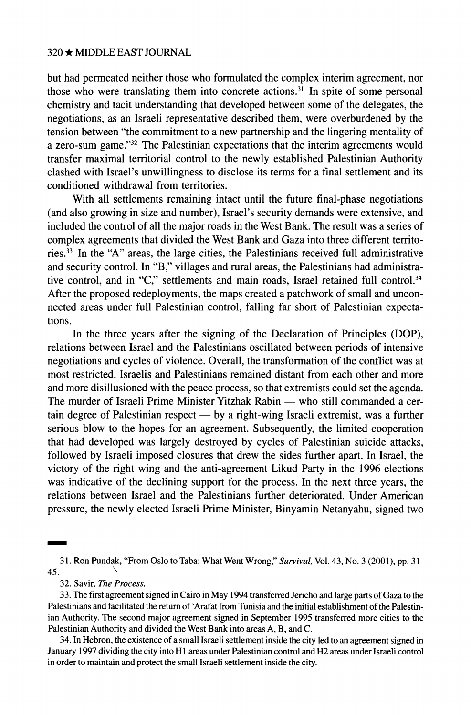**but had permeated neither those who formulated the complex interim agreement, nor those who were translating them into concrete actions.3" In spite of some personal chemistry and tacit understanding that developed between some of the delegates, the negotiations, as an Israeli representative described them, were overburdened by the**  tension between "the commitment to a new partnership and the lingering mentality of **a zero-sum game."32 The Palestinian expectations that the interim agreements would transfer maximal territorial control to the newly established Palestinian Authority clashed with Israel's unwillingness to disclose its terms for a final settlement and its conditioned withdrawal from territories.** 

**With all settlements remaining intact until the future final-phase negotiations (and also growing in size and number), Israel's security demands were extensive, and included the control of all the major roads in the West Bank. The result was a series of complex agreements that divided the West Bank and Gaza into three different territories.33 In the "A" areas, the large cities, the Palestinians received full administrative and security control. In "B," villages and rural areas, the Palestinians had administrative control, and in "C," settlements and main roads, Israel retained full control.34 After the proposed redeployments, the maps created a patchwork of small and unconnected areas under full Palestinian control, falling far short of Palestinian expectations.** 

**In the three years after the signing of the Declaration of Principles (DOP), relations between Israel and the Palestinians oscillated between periods of intensive negotiations and cycles of violence. Overall, the transformation of the conflict was at most restricted. Israelis and Palestinians remained distant from each other and more and more disillusioned with the peace process, so that extremists could set the agenda. The murder of Israeli Prime Minister Yitzhak Rabin - who still commanded a certain degree of Palestinian respect - by a right-wing Israeli extremist, was a further serious blow to the hopes for an agreement. Subsequently, the limited cooperation that had developed was largely destroyed by cycles of Palestinian suicide attacks, followed by Israeli imposed closures that drew the sides further apart. In Israel, the victory of the right wing and the anti-agreement Likud Party in the 1996 elections was indicative of the declining support for the process. In the next three years, the relations between Israel and the Palestinians further deteriorated. Under American pressure, the newly elected Israeli Prime Minister, Binyamin Netanyahu, signed two** 

**<sup>31.</sup> Ron Pundak, "From Oslo to Taba: What Went Wrong," Survival, Vol. 43, No. 3 (2001), pp. 31- 45.** 

**<sup>32.</sup> Savir, The Process.** 

**<sup>33.</sup> The first agreement signed in Cairo in May 1994 transferred Jericho and large parts of Gaza to the Palestinians and facilitated the return of 'Arafat from Tunisia and the initial establishment of the Palestinian Authority. The second major agreement signed in September 1995 transferred more cities to the Palestinian Authority and divided the West Bank into areas A, B, and C.** 

**<sup>34.</sup> In Hebron, the existence of a small Israeli settlement inside the city led to an agreement signed in**  January 1997 dividing the city into H1 areas under Palestinian control and H2 areas under Israeli control **in order to maintain and protect the small Israeli settlement inside the city.**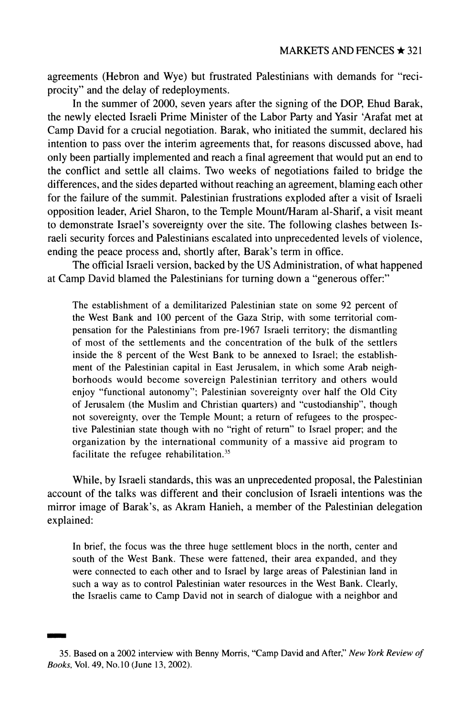**agreements (Hebron and Wye) but frustrated Palestinians with demands for "reciprocity" and the delay of redeployments.** 

**In the summer of 2000, seven years after the signing of the DOP, Ehud Barak, the newly elected Israeli Prime Minister of the Labor Party and Yasir 'Arafat met at Camp David for a crucial negotiation. Barak, who initiated the summit, declared his intention to pass over the interim agreements that, for reasons discussed above, had only been partially implemented and reach a final agreement that would put an end to the conflict and settle all claims. Two weeks of negotiations failed to bridge the differences, and the sides departed without reaching an agreement, blaming each other for the failure of the summit. Palestinian frustrations exploded after a visit of Israeli opposition leader, Ariel Sharon, to the Temple Mount/Haram al-Sharif, a visit meant to demonstrate Israel's sovereignty over the site. The following clashes between Israeli security forces and Palestinians escalated into unprecedented levels of violence, ending the peace process and, shortly after, Barak's term in office.** 

**The official Israeli version, backed by the US Administration, of what happened at Camp David blamed the Palestinians for turning down a "generous offer:"** 

**The establishment of a demilitarized Palestinian state on some 92 percent of the West Bank and 100 percent of the Gaza Strip, with some territorial compensation for the Palestinians from pre-1967 Israeli territory; the dismantling of most of the settlements and the concentration of the bulk of the settlers inside the 8 percent of the West Bank to be annexed to Israel; the establishment of the Palestinian capital in East Jerusalem, in which some Arab neighborhoods would become sovereign Palestinian territory and others would enjoy "functional autonomy"; Palestinian sovereignty over half the Old City of Jerusalem (the Muslim and Christian quarters) and "custodianship", though not sovereignty, over the Temple Mount; a return of refugees to the prospective Palestinian state though with no "right of return" to Israel proper; and the organization by the international community of a massive aid program to facilitate the refugee rehabilitation.35** 

**While, by Israeli standards, this was an unprecedented proposal, the Palestinian account of the talks was different and their conclusion of Israeli intentions was the mirror image of Barak's, as Akram Hanieh, a member of the Palestinian delegation explained:** 

**In brief, the focus was the three huge settlement blocs in the north, center and south of the West Bank. These were fattened, their area expanded, and they were connected to each other and to Israel by large areas of Palestinian land in such a way as to control Palestinian water resources in the West Bank. Clearly, the Israelis came to Camp David not in search of dialogue with a neighbor and** 

**<sup>35.</sup> Based on a 2002 interview with Benny Morris, "Camp David and After," New York Review of Books, Vol. 49, No.10 (June 13, 2002).**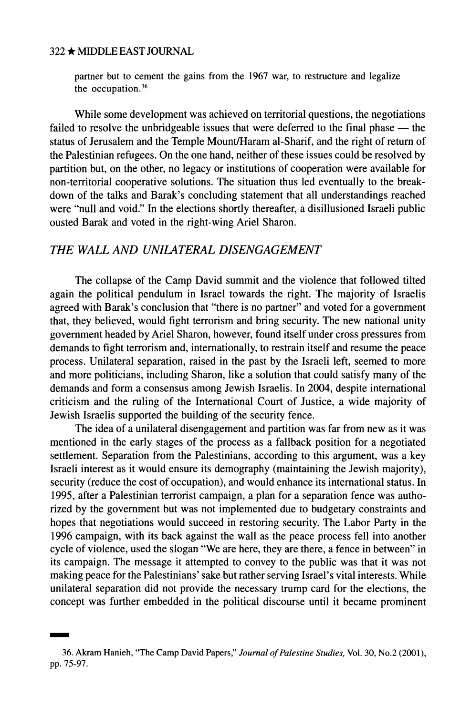**partner but to cement the gains from the 1967 war, to restructure and legalize the occupation.36** 

**While some development was achieved on territorial questions, the negotiations failed to resolve the unbridgeable issues that were deferred to the final phase — the status of Jerusalem and the Temple Mount/Haram al-Sharif, and the right of return of the Palestinian refugees. On the one hand, neither of these issues could be resolved by partition but, on the other, no legacy or institutions of cooperation were available for non-territorial cooperative solutions. The situation thus led eventually to the breakdown of the talks and Barak's concluding statement that all understandings reached were "null and void." In the elections shortly thereafter, a disillusioned Israeli public ousted Barak and voted in the right-wing Ariel Sharon.** 

# **THE WALL AND UNILATERAL DISENGAGEMENT**

**The collapse of the Camp David summit and the violence that followed tilted again the political pendulum in Israel towards the right. The majority of Israelis agreed with Barak's conclusion that "there is no partner" and voted for a government that, they believed, would fight terrorism and bring security. The new national unity government headed by Ariel Sharon, however, found itself under cross pressures from demands to fight terrorism and, internationally, to restrain itself and resume the peace process. Unilateral separation, raised in the past by the Israeli left, seemed to more and more politicians, including Sharon, like a solution that could satisfy many of the demands and form a consensus among Jewish Israelis. In 2004, despite international criticism and the ruling of the International Court of Justice, a wide majority of Jewish Israelis supported the building of the security fence.** 

**The idea of a unilateral disengagement and partition was far from new as it was mentioned in the early stages of the process as a fallback position for a negotiated settlement. Separation from the Palestinians, according to this argument, was a key Israeli interest as it would ensure its demography (maintaining the Jewish majority), security (reduce the cost of occupation), and would enhance its international status. In 1995, after a Palestinian terrorist campaign, a plan for a separation fence was authorized by the government but was not implemented due to budgetary constraints and hopes that negotiations would succeed in restoring security. The Labor Party in the 1996 campaign, with its back against the wall as the peace process fell into another cycle of violence, used the slogan "We are here, they are there, a fence in between" in its campaign. The message it attempted to convey to the public was that it was not making peace for the Palestinians' sake but rather serving Israel's vital interests. While unilateral separation did not provide the necessary trump card for the elections, the concept was further embedded in the political discourse until it became prominent** 

**<sup>36.</sup> Akram Hanieh, "The Camp David Papers," Journal of Palestine Studies, Vol. 30, No.2 (2001), pp. 75-97.**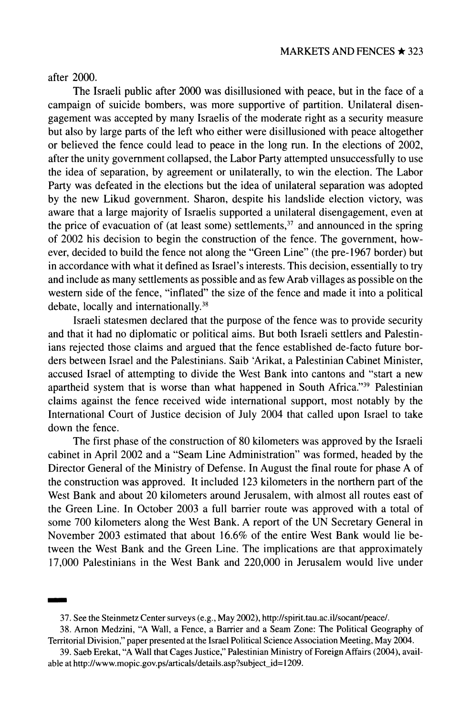**after 2000.** 

**The Israeli public after 2000 was disillusioned with peace, but in the face of a campaign of suicide bombers, was more supportive of partition. Unilateral disengagement was accepted by many Israelis of the moderate right as a security measure but also by large parts of the left who either were disillusioned with peace altogether or believed the fence could lead to peace in the long run. In the elections of 2002, after the unity government collapsed, the Labor Party attempted unsuccessfully to use the idea of separation, by agreement or unilaterally, to win the election. The Labor Party was defeated in the elections but the idea of unilateral separation was adopted by the new Likud government. Sharon, despite his landslide election victory, was aware that a large majority of Israelis supported a unilateral disengagement, even at**  the price of evacuation of (at least some) settlements,<sup>37</sup> and announced in the spring **of 2002 his decision to begin the construction of the fence. The government, however, decided to build the fence not along the "Green Line" (the pre-1967 border) but in accordance with what it defined as Israel's interests. This decision, essentially to try and include as many settlements as possible and as few Arab villages as possible on the western side of the fence, "inflated" the size of the fence and made it into a political debate, locally and internationally.38** 

**Israeli statesmen declared that the purpose of the fence was to provide security and that it had no diplomatic or political aims. But both Israeli settlers and Palestinians rejected those claims and argued that the fence established de-facto future borders between Israel and the Palestinians. Saib 'Arikat, a Palestinian Cabinet Minister, accused Israel of attempting to divide the West Bank into cantons and "start a new apartheid system that is worse than what happened in South Africa."39 Palestinian claims against the fence received wide international support, most notably by the International Court of Justice decision of July 2004 that called upon Israel to take down the fence.** 

**The first phase of the construction of 80 kilometers was approved by the Israeli cabinet in April 2002 and a "Seam Line Administration" was formed, headed by the Director General of the Ministry of Defense. In August the final route for phase A of the construction was approved. It included 123 kilometers in the northern part of the West Bank and about 20 kilometers around Jerusalem, with almost all routes east of the Green Line. In October 2003 a full barrier route was approved with a total of some 700 kilometers along the West Bank. A report of the UN Secretary General in November 2003 estimated that about 16.6% of the entire West Bank would lie between the West Bank and the Green Line. The implications are that approximately 17,000 Palestinians in the West Bank and 220,000 in Jerusalem would live under** 

**<sup>37.</sup> See the Steinmetz Center surveys (e.g., May 2002), http://spirit.tau.ac.ilIsocant/peace/.** 

**<sup>38.</sup> Arnon Medzini, "A Wall, a Fence, a Barrier and a Seam Zone: The Political Geography of Territorial Division," paper presented at the Israel Political Science Association Meeting, May 2004.** 

**<sup>39.</sup> Saeb Erekat, "A Wall that Cages Justice," Palestinian Ministry of Foreign Affairs (2004), available at http://www.mopic.gov.ps/articals/details.asp?subject\_id= 1209.**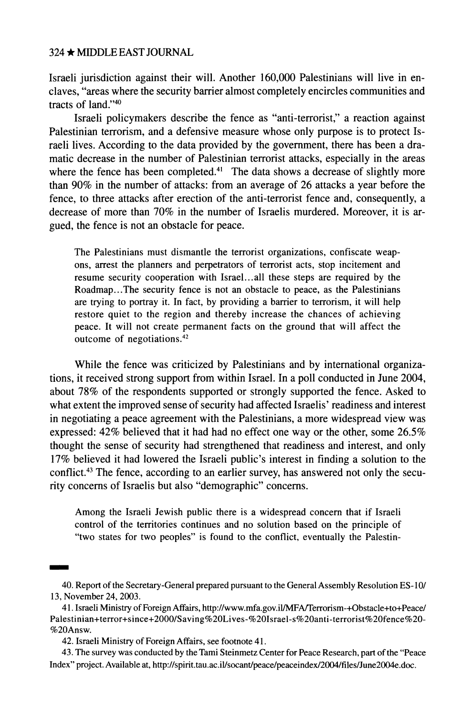**Israeli jurisdiction against their will. Another 160,000 Palestinians will live in enclaves, "areas where the security barrier almost completely encircles communities and tracts of land."40** 

**Israeli policymakers describe the fence as "anti-terrorist," a reaction against Palestinian terrorism, and a defensive measure whose only purpose is to protect Israeli lives. According to the data provided by the government, there has been a dramatic decrease in the number of Palestinian terrorist attacks, especially in the areas**  where the fence has been completed.<sup>41</sup> The data shows a decrease of slightly more **than 90% in the number of attacks: from an average of 26 attacks a year before the fence, to three attacks after erection of the anti-terrorist fence and, consequently, a decrease of more than 70% in the number of Israelis murdered. Moreover, it is argued, the fence is not an obstacle for peace.** 

**The Palestinians must dismantle the terrorist organizations, confiscate weapons, arrest the planners and perpetrators of terrorist acts, stop incitement and resume security cooperation with Israel... all these steps are required by the Roadmap... The security fence is not an obstacle to peace, as the Palestinians are trying to portray it. In fact, by providing a barrier to terrorism, it will help restore quiet to the region and thereby increase the chances of achieving peace. It will not create permanent facts on the ground that will affect the outcome of negotiations.42** 

**While the fence was criticized by Palestinians and by international organizations, it received strong support from within Israel. In a poll conducted in June 2004, about 78% of the respondents supported or strongly supported the fence. Asked to what extent the improved sense of security had affected Israelis' readiness and interest in negotiating a peace agreement with the Palestinians, a more widespread view was expressed: 42% believed that it had had no effect one way or the other, some 26.5% thought the sense of security had strengthened that readiness and interest, and only 17% believed it had lowered the Israeli public's interest in finding a solution to the conflict.43 The fence, according to an earlier survey, has answered not only the security concerns of Israelis but also "demographic" concerns.** 

**Among the Israeli Jewish public there is a widespread concern that if Israeli control of the territories continues and no solution based on the principle of "two states for two peoples" is found to the conflict, eventually the Palestin-**

**<sup>40.</sup> Report of the Secretary-General prepared pursuanto the General Assembly Resolution ES-lO/ 13, November 24, 2003.** 

**<sup>41.</sup> Israeli Ministry of Foreign Affairs, http://www.mfa.gov.il/MFA/Terrorism-+Obstacle+to+Peace/ Palestinian+terror+since+2000/Saving%2OLives-%20Israel-s%20anti-terrorist%20fence%20- %2OAnsw.** 

**<sup>42.</sup> Israeli Ministry of Foreign Affairs, see footnote 41.** 

**<sup>43.</sup> The survey was conducted by the Tami Steinmetz Center for Peace Research, part of the "Peace**  Index" project. Available at, http://spirit.tau.ac.il/socant/peace/peaceindex/2004/files/June2004e.doc.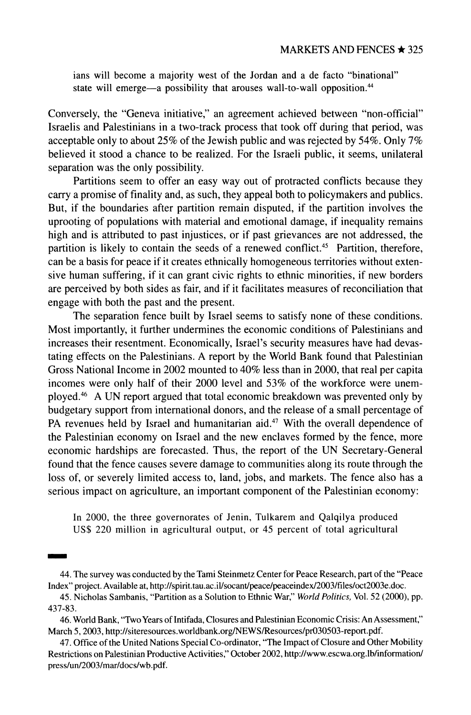**ians will become a majority west of the Jordan and a de facto "binational"**  state will emerge-a possibility that arouses wall-to-wall opposition.<sup>44</sup>

**Conversely, the "Geneva initiative," an agreement achieved between "non-official" Israelis and Palestinians in a two-track process that took off during that period, was acceptable only to about 25% of the Jewish public and was rejected by 54%. Only 7% believed it stood a chance to be realized. For the Israeli public, it seems, unilateral separation was the only possibility.** 

**Partitions seem to offer an easy way out of protracted conflicts because they carry a promise of finality and, as such, they appeal both to policymakers and publics. But, if the boundaries after partition remain disputed, if the partition involves the uprooting of populations with material and emotional damage, if inequality remains high and is attributed to past injustices, or if past grievances are not addressed, the partition is likely to contain the seeds of a renewed conflict.45 Partition, therefore, can be a basis for peace if it creates ethnically homogeneous territories without extensive human suffering, if it can grant civic rights to ethnic minorities, if new borders are perceived by both sides as fair, and if it facilitates measures of reconciliation that engage with both the past and the present.** 

**The separation fence built by Israel seems to satisfy none of these conditions. Most importantly, it further undermines the economic conditions of Palestinians and increases their resentment. Economically, Israel's security measures have had devastating effects on the Palestinians. A report by the World Bank found that Palestinian Gross National Income in 2002 mounted to 40% less than in 2000, that real per capita incomes were only half of their 2000 level and 53% of the workforce were unemployed.46 A UN report argued that total economic breakdown was prevented only by budgetary support from international donors, and the release of a small percentage of**  PA revenues held by Israel and humanitarian aid.<sup>47</sup> With the overall dependence of **the Palestinian economy on Israel and the new enclaves formed by the fence, more economic hardships are forecasted. Thus, the report of the UN Secretary-General found that the fence causes severe damage to communities along its route through the loss of, or severely limited access to, land, jobs, and markets. The fence also has a serious impact on agriculture, an important component of the Palestinian economy:** 

**In 2000, the three governorates of Jenin, Tulkarem and Qalqilya produced US\$ 220 million in agricultural output, or 45 percent of total agricultural** 

**<sup>44.</sup> The survey was conducted by the Tami Steinmetz Center for Peace Research, part of the "Peace**  Index" project. Available at, http://spirit.tau.ac.il/socant/peace/peaceindex/2003/files/oct2003e.doc.

**<sup>45.</sup> Nicholas Sambanis, "Partition as a Solution to Ethnic War," World Politics, Vol. 52 (2000), pp. 437-83.** 

**<sup>46.</sup> World Bank, "Two Years of Intifada, Closures and Palestinian Economic Crisis: An Assessment," March 5, 2003, http://siteresources.worldbank.org/NEWS/Resources/pr030503-report.pdf.** 

**<sup>47.</sup> Office of the United Nations Special Co-ordinator, "The Impact of Closure and Other Mobility Restrictions on Palestinian Productive Activities," October 2002, http://www.escwa.org.lb/information/ press/un/2003/mar/docs/wb.pdf.**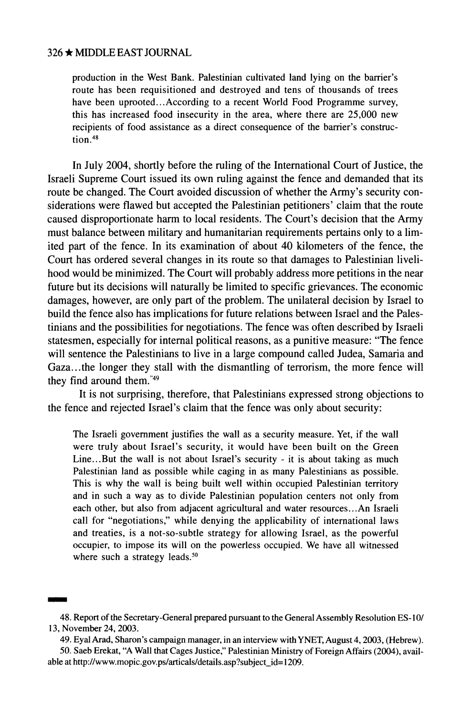**production in the West Bank. Palestinian cultivated land lying on the barrier's route has been requisitioned and destroyed and tens of thousands of trees have been uprooted... According to a recent World Food Programme survey, this has increased food insecurity in the area, where there are 25,000 new recipients of food assistance as a direct consequence of the barrier's construction.48** 

**In July 2004, shortly before the ruling of the International Court of Justice, the Israeli Supreme Court issued its own ruling against the fence and demanded that its route be changed. The Court avoided discussion of whether the Army's security considerations were flawed but accepted the Palestinian petitioners' claim that the route caused disproportionate harm to local residents. The Court's decision that the Army must balance between military and humanitarian requirements pertains only to a limited part of the fence. In its examination of about 40 kilometers of the fence, the Court has ordered several changes in its route so that damages to Palestinian livelihood would be minimized. The Court will probably address more petitions in the near future but its decisions will naturally be limited to specific grievances. The economic damages, however, are only part of the problem. The unilateral decision by Israel to build the fence also has implications for future relations between Israel and the Palestinians and the possibilities for negotiations. The fence was often described by Israeli statesmen, especially for internal political reasons, as a punitive measure: "The fence will sentence the Palestinians to live in a large compound called Judea, Samaria and Gaza.. .the longer they stall with the dismantling of terrorism, the more fence will they find around them."49** 

**It is not surprising, therefore, that Palestinians expressed strong objections to the fence and rejected Israel's claim that the fence was only about security:** 

**The Israeli government justifies the wall as a security measure. Yet, if the wall were truly about Israel's security, it would have been built on the Green Line.. .But the wall is not about Israel's security - it is about taking as much Palestinian land as possible while caging in as many Palestinians as possible. This is why the wall is being built well within occupied Palestinian territory and in such a way as to divide Palestinian population centers not only from each other, but also from adjacent agricultural and water resources.. An Israeli call for "negotiations," while denying the applicability of international laws and treaties, is a not-so-subtle strategy for allowing Israel, as the powerful occupier, to impose its will on the powerless occupied. We have all witnessed where such a strategy leads.50** 

**<sup>48.</sup> Report of the Secretary-General prepared pursuanto the General Assembly Resolution ES- 10/ 13, November 24, 2003.** 

**<sup>49.</sup> Eyal Arad, Sharon's campaign manager, in an interview with YNET, August 4, 2003, (Hebrew).** 

**<sup>50.</sup> Saeb Erekat, "A Wall that Cages Justice," Palestinian Ministry of Foreign Affairs (2004), available at http://www.mopic.gov.ps/articals/details.asp?subject\_id= 1209.**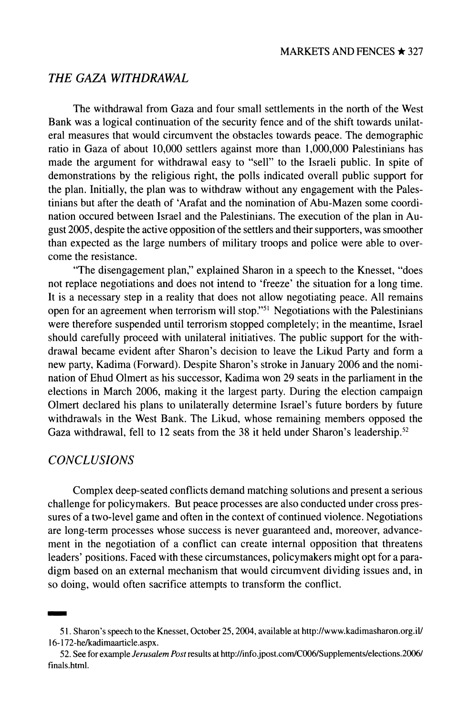# **THE GAZA WITHDRAWAL**

**The withdrawal from Gaza and four small settlements in the north of the West Bank was a logical continuation of the security fence and of the shift towards unilateral measures that would circumvent the obstacles towards peace. The demographic ratio in Gaza of about 10,000 settlers against more than 1,000,000 Palestinians has made the argument for withdrawal easy to "sell" to the Israeli public. In spite of demonstrations by the religious right, the polls indicated overall public support for the plan. Initially, the plan was to withdraw without any engagement with the Palestinians but after the death of 'Arafat and the nomination of Abu-Mazen some coordination occured between Israel and the Palestinians. The execution of the plan in August 2005, despite the active opposition of the settlers and their supporters, was smoother than expected as the large numbers of military troops and police were able to overcome the resistance.** 

**"The disengagement plan," explained Sharon in a speech to the Knesset, "does not replace negotiations and does not intend to 'freeze' the situation for a long time. It is a necessary step in a reality that does not allow negotiating peace. All remains**  open for an agreement when terrorism will stop."<sup>51</sup> Negotiations with the Palestinians **were therefore suspended until terrorism stopped completely; in the meantime, Israel should carefully proceed with unilateral initiatives. The public support for the withdrawal became evident after Sharon's decision to leave the Likud Party and form a new party, Kadima (Forward). Despite Sharon's stroke in January 2006 and the nomination of Ehud Olmert as his successor, Kadima won 29 seats in the parliament in the elections in March 2006, making it the largest party. During the election campaign Olmert declared his plans to unilaterally determine Israel's future borders by future withdrawals in the West Bank. The Likud, whose remaining members opposed the Gaza withdrawal, fell to 12 seats from the 38 it held under Sharon's leadership.52** 

# **CONCLUSIONS**

**Complex deep-seated conflicts demand matching solutions and present a serious challenge for policymakers. But peace processes are also conducted under cross pressures of a two-level game and often in the context of continued violence. Negotiations are long-term processes whose success is never guaranteed and, moreover, advancement in the negotiation of a conflict can create internal opposition that threatens leaders' positions. Faced with these circumstances, policymakers might opt for a paradigm based on an external mechanism that would circumvent dividing issues and, in so doing, would often sacrifice attempts to transform the conflict.** 

**<sup>51.</sup> Sharon's speech to the Knesset, October 25, 2004, available at http://www.kadimasharon.org.il/ 16- 172-he/kadimaarticle.aspx.** 

**<sup>52.</sup> See for example Jerusalem Post results at http://info.jpost.com/C006/Supplements/elections.2006/ finals.html.**